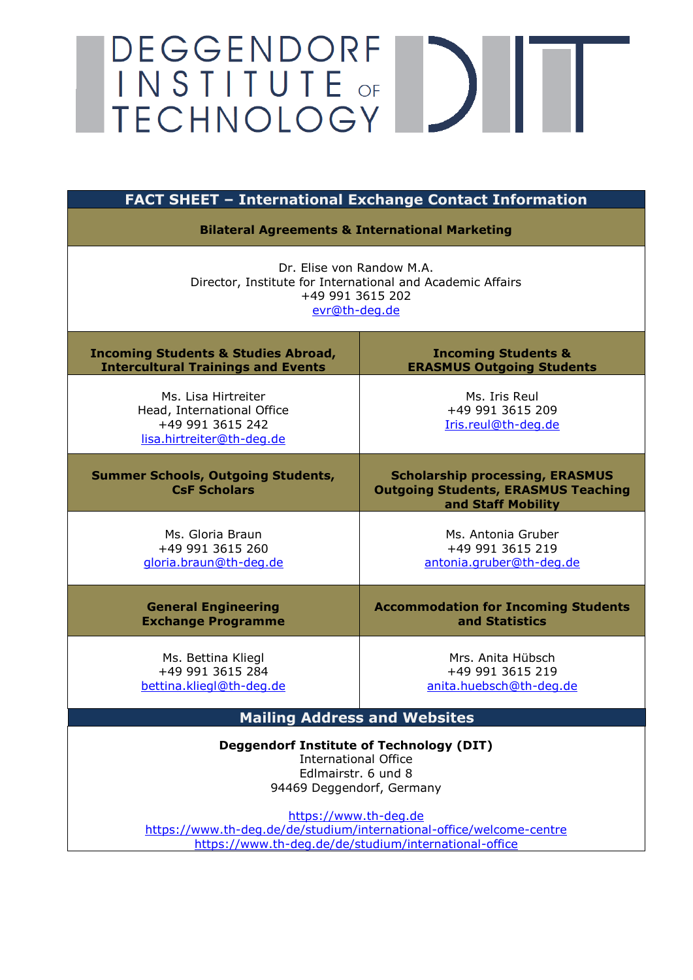# DEGGENDORF<br>
INSTITUTE OF<br>
TECHNOLOGY

| <b>FACT SHEET - International Exchange Contact Information</b>                                                                                         |                                                                                                            |  |  |
|--------------------------------------------------------------------------------------------------------------------------------------------------------|------------------------------------------------------------------------------------------------------------|--|--|
| <b>Bilateral Agreements &amp; International Marketing</b>                                                                                              |                                                                                                            |  |  |
| Dr. Elise von Randow M.A.<br>Director, Institute for International and Academic Affairs<br>+49 991 3615 202<br>evr@th-deg.de                           |                                                                                                            |  |  |
| <b>Incoming Students &amp; Studies Abroad,</b><br><b>Intercultural Trainings and Events</b>                                                            | <b>Incoming Students &amp;</b><br><b>ERASMUS Outgoing Students</b>                                         |  |  |
| Ms. Lisa Hirtreiter<br>Head, International Office<br>+49 991 3615 242<br>lisa.hirtreiter@th-deg.de                                                     | Ms. Iris Reul<br>+49 991 3615 209<br>Iris.reul@th-deq.de                                                   |  |  |
| <b>Summer Schools, Outgoing Students,</b><br><b>CsF Scholars</b>                                                                                       | <b>Scholarship processing, ERASMUS</b><br><b>Outgoing Students, ERASMUS Teaching</b><br>and Staff Mobility |  |  |
| Ms. Gloria Braun<br>+49 991 3615 260<br>gloria.braun@th-deg.de                                                                                         | Ms. Antonia Gruber<br>+49 991 3615 219<br>antonia.gruber@th-deg.de                                         |  |  |
| <b>General Engineering</b><br><b>Exchange Programme</b>                                                                                                | <b>Accommodation for Incoming Students</b><br>and Statistics                                               |  |  |
| Ms. Bettina Kliegl<br>+49 991 3615 284<br>bettina.kliegl@th-deg.de                                                                                     | Mrs. Anita Hübsch<br>+49 991 3615 219<br>anita.huebsch@th-deq.de                                           |  |  |
| <b>Mailing Address and Websites</b>                                                                                                                    |                                                                                                            |  |  |
| <b>Deggendorf Institute of Technology (DIT)</b><br><b>International Office</b><br>Edlmairstr. 6 und 8<br>94469 Deggendorf, Germany                     |                                                                                                            |  |  |
| https://www.th-deg.de<br>https://www.th-deg.de/de/studium/international-office/welcome-centre<br>https://www.th-deg.de/de/studium/international-office |                                                                                                            |  |  |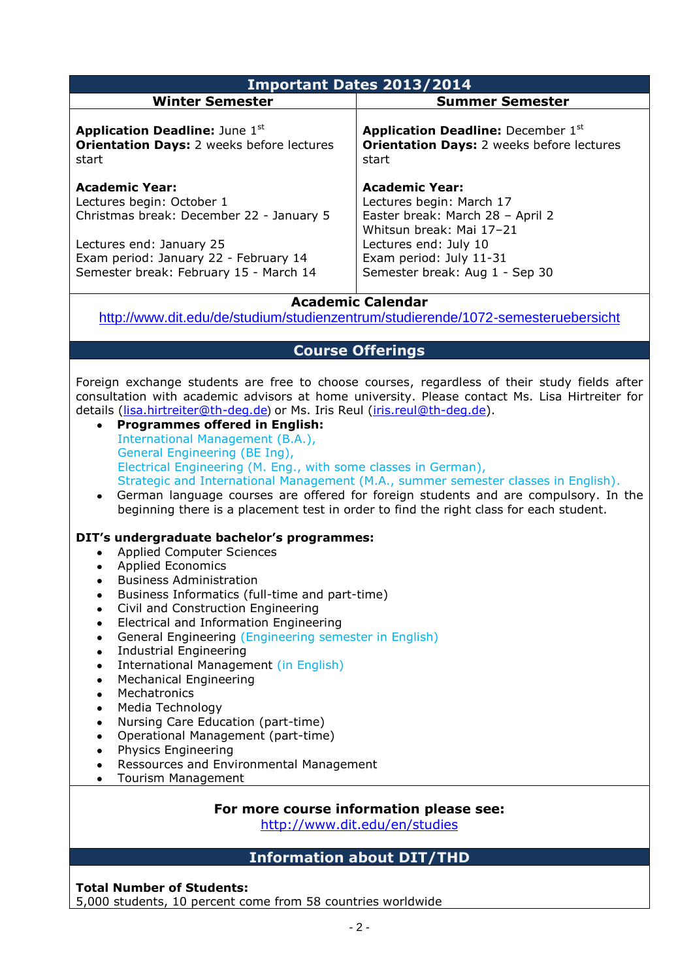| <b>Important Dates 2013/2014</b>                                                                                                                                                                                                                                                                                                                                                                                                                                                                                                                                                                                                                                                                                                                                                                                                                                                                                                                                                                                                                                                                                                                                                                                                                                                                                                                                                                                                                                                                                                                                                                                                                   |                                                                                                                                                                                                         |  |  |  |
|----------------------------------------------------------------------------------------------------------------------------------------------------------------------------------------------------------------------------------------------------------------------------------------------------------------------------------------------------------------------------------------------------------------------------------------------------------------------------------------------------------------------------------------------------------------------------------------------------------------------------------------------------------------------------------------------------------------------------------------------------------------------------------------------------------------------------------------------------------------------------------------------------------------------------------------------------------------------------------------------------------------------------------------------------------------------------------------------------------------------------------------------------------------------------------------------------------------------------------------------------------------------------------------------------------------------------------------------------------------------------------------------------------------------------------------------------------------------------------------------------------------------------------------------------------------------------------------------------------------------------------------------------|---------------------------------------------------------------------------------------------------------------------------------------------------------------------------------------------------------|--|--|--|
| <b>Winter Semester</b>                                                                                                                                                                                                                                                                                                                                                                                                                                                                                                                                                                                                                                                                                                                                                                                                                                                                                                                                                                                                                                                                                                                                                                                                                                                                                                                                                                                                                                                                                                                                                                                                                             | <b>Summer Semester</b>                                                                                                                                                                                  |  |  |  |
| <b>Application Deadline: June 1st</b><br><b>Orientation Days: 2 weeks before lectures</b><br>start                                                                                                                                                                                                                                                                                                                                                                                                                                                                                                                                                                                                                                                                                                                                                                                                                                                                                                                                                                                                                                                                                                                                                                                                                                                                                                                                                                                                                                                                                                                                                 | <b>Application Deadline: December 1st</b><br><b>Orientation Days: 2 weeks before lectures</b><br>start                                                                                                  |  |  |  |
| <b>Academic Year:</b><br>Lectures begin: October 1<br>Christmas break: December 22 - January 5<br>Lectures end: January 25<br>Exam period: January 22 - February 14<br>Semester break: February 15 - March 14                                                                                                                                                                                                                                                                                                                                                                                                                                                                                                                                                                                                                                                                                                                                                                                                                                                                                                                                                                                                                                                                                                                                                                                                                                                                                                                                                                                                                                      | <b>Academic Year:</b><br>Lectures begin: March 17<br>Easter break: March 28 - April 2<br>Whitsun break: Mai 17-21<br>Lectures end: July 10<br>Exam period: July 11-31<br>Semester break: Aug 1 - Sep 30 |  |  |  |
|                                                                                                                                                                                                                                                                                                                                                                                                                                                                                                                                                                                                                                                                                                                                                                                                                                                                                                                                                                                                                                                                                                                                                                                                                                                                                                                                                                                                                                                                                                                                                                                                                                                    | <b>Academic Calendar</b><br>http://www.dit.edu/de/studium/studienzentrum/studierende/1072-semesteruebersicht                                                                                            |  |  |  |
|                                                                                                                                                                                                                                                                                                                                                                                                                                                                                                                                                                                                                                                                                                                                                                                                                                                                                                                                                                                                                                                                                                                                                                                                                                                                                                                                                                                                                                                                                                                                                                                                                                                    |                                                                                                                                                                                                         |  |  |  |
| <b>Course Offerings</b><br>Foreign exchange students are free to choose courses, regardless of their study fields after<br>consultation with academic advisors at home university. Please contact Ms. Lisa Hirtreiter for<br>details (lisa.hirtreiter@th-deg.de) or Ms. Iris Reul (iris.reul@th-deg.de).<br><b>Programmes offered in English:</b><br>$\bullet$<br>International Management (B.A.),<br>General Engineering (BE Ing),<br>Electrical Engineering (M. Eng., with some classes in German),<br>Strategic and International Management (M.A., summer semester classes in English).<br>German language courses are offered for foreign students and are compulsory. In the<br>$\bullet$<br>beginning there is a placement test in order to find the right class for each student.<br>DIT's undergraduate bachelor's programmes:<br><b>Applied Computer Sciences</b><br>$\bullet$<br><b>Applied Economics</b><br>$\bullet$<br><b>Business Administration</b><br>٠<br>Business Informatics (full-time and part-time)<br>Civil and Construction Engineering<br>$\bullet$<br>Electrical and Information Engineering<br>$\bullet$<br>General Engineering (Engineering semester in English)<br>$\bullet$<br><b>Industrial Engineering</b><br>$\bullet$<br>International Management (in English)<br>$\bullet$<br><b>Mechanical Engineering</b><br>$\bullet$<br>Mechatronics<br>$\bullet$<br>Media Technology<br>$\bullet$<br>Nursing Care Education (part-time)<br>$\bullet$<br>Operational Management (part-time)<br>$\bullet$<br>Physics Engineering<br>$\bullet$<br>Ressources and Environmental Management<br>$\bullet$<br>Tourism Management |                                                                                                                                                                                                         |  |  |  |
| For more course information please see:<br>http://www.dit.edu/en/studies                                                                                                                                                                                                                                                                                                                                                                                                                                                                                                                                                                                                                                                                                                                                                                                                                                                                                                                                                                                                                                                                                                                                                                                                                                                                                                                                                                                                                                                                                                                                                                           |                                                                                                                                                                                                         |  |  |  |
|                                                                                                                                                                                                                                                                                                                                                                                                                                                                                                                                                                                                                                                                                                                                                                                                                                                                                                                                                                                                                                                                                                                                                                                                                                                                                                                                                                                                                                                                                                                                                                                                                                                    | <b>Information about DIT/THD</b>                                                                                                                                                                        |  |  |  |

**Total Number of Students:** 

5,000 students, 10 percent come from 58 countries worldwide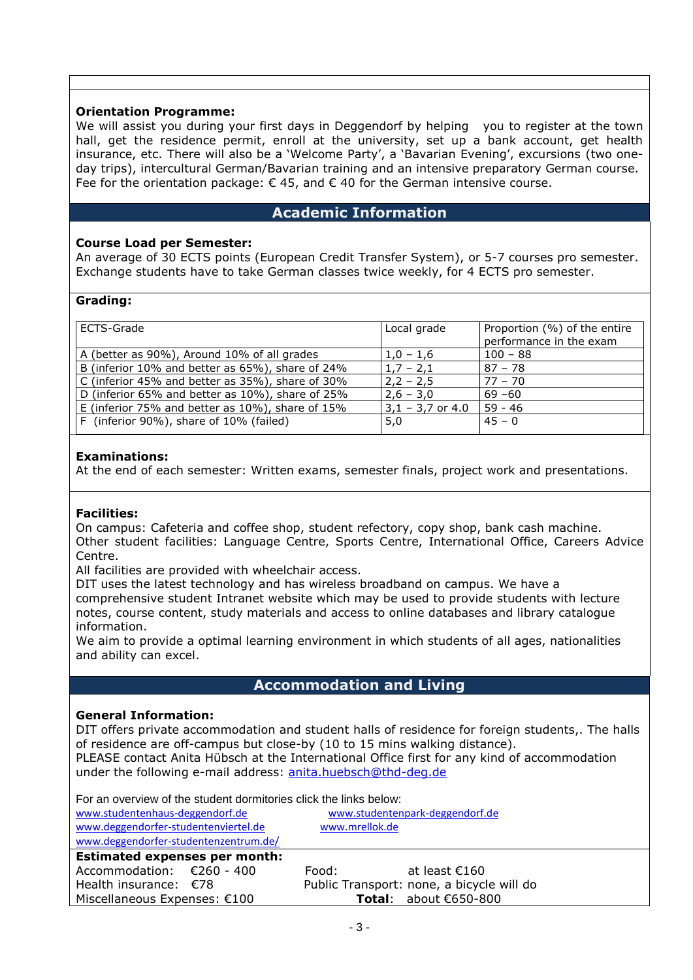#### **Orientation Programme:**

We will assist you during your first days in Deggendorf by helping you to register at the town hall, get the residence permit, enroll at the university, set up a bank account, get health insurance, etc. There will also be a 'Welcome Party', a 'Bavarian Evening', excursions (two oneday trips), intercultural German/Bavarian training and an intensive preparatory German course. Fee for the orientation package:  $\epsilon$  45, and  $\epsilon$  40 for the German intensive course.

# **Academic Information**

#### **Course Load per Semester:**

An average of 30 ECTS points (European Credit Transfer System), or 5-7 courses pro semester. Exchange students have to take German classes twice weekly, for 4 ECTS pro semester.

#### **Grading:**

| ECTS-Grade                                       | Local grade        | Proportion (%) of the entire<br>performance in the exam |
|--------------------------------------------------|--------------------|---------------------------------------------------------|
| A (better as 90%), Around 10% of all grades      | $1.0 - 1.6$        | $100 - 88$                                              |
| B (inferior 10% and better as 65%), share of 24% | $1,7 - 2,1$        | $87 - 78$                                               |
| C (inferior 45% and better as 35%), share of 30% | $2,2 - 2,5$        | $77 - 70$                                               |
| D (inferior 65% and better as 10%), share of 25% | $2,6 - 3,0$        | $69 - 60$                                               |
| E (inferior 75% and better as 10%), share of 15% | $3,1 - 3,7$ or 4.0 | $59 - 46$                                               |
| F (inferior 90%), share of 10% (failed)          | 5,0                | $45 - 0$                                                |

#### **Examinations:**

At the end of each semester: Written exams, semester finals, project work and presentations.

#### **Facilities:**

On campus: Cafeteria and coffee shop, student refectory, copy shop, bank cash machine. Other student facilities: Language Centre, Sports Centre, International Office, Careers Advice Centre.

All facilities are provided with wheelchair access.

DIT uses the latest technology and has wireless broadband on campus. We have a comprehensive student Intranet website which may be used to provide students with lecture notes, course content, study materials and access to online databases and library catalogue information.

We aim to provide a optimal learning environment in which students of all ages, nationalities and ability can excel.

## **Accommodation and Living**

#### **General Information:**

DIT offers private accommodation and student halls of residence for foreign students,. The halls of residence are off-campus but close-by (10 to 15 mins walking distance). PLEASE contact Anita Hübsch at the International Office first for any kind of accommodation under the following e-mail address: [anita.huebsch@thd-deg.de](mailto:anita.huebsch@thd-deg.de)

For an overview of the student dormitories click the links below:

| www.studentenhaus-deggendorf.de       | www.studentenpark-deggendorf.de           |  |  |  |
|---------------------------------------|-------------------------------------------|--|--|--|
| www.deggendorfer-studentenviertel.de  | www.mrellok.de                            |  |  |  |
| www.deggendorfer-studentenzentrum.de/ |                                           |  |  |  |
| <b>Estimated expenses per month:</b>  |                                           |  |  |  |
| Accommodation: €260 - 400             | Food:<br>at least €160                    |  |  |  |
| Health insurance: $\epsilon$ 78       | Public Transport: none, a bicycle will do |  |  |  |
| Miscellaneous Expenses: €100          | Total: about $€650-800$                   |  |  |  |